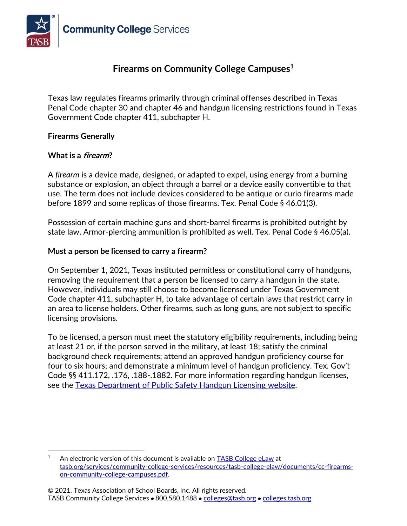

# **Firearms on Community College Campuses<sup>1</sup>**

Texas law regulates firearms primarily through criminal offenses described in Texas Penal Code chapter 30 and chapter 46 and handgun licensing restrictions found in Texas Government Code chapter 411, subchapter H.

#### **Firearms Generally**

#### **What is a firearm?**

A *firearm* is a device made, designed, or adapted to expel, using energy from a burning substance or explosion, an object through a barrel or a device easily convertible to that use. The term does not include devices considered to be antique or curio firearms made before 1899 and some replicas of those firearms. Tex. Penal Code § 46.01(3).

Possession of certain machine guns and short-barrel firearms is prohibited outright by state law. Armor-piercing ammunition is prohibited as well. Tex. Penal Code § 46.05(a).

#### **Must a person be licensed to carry a firearm?**

On September 1, 2021, Texas instituted permitless or constitutional carry of handguns, removing the requirement that a person be licensed to carry a handgun in the state. However, individuals may still choose to become licensed under Texas Government Code chapter 411, subchapter H, to take advantage of certain laws that restrict carry in an area to license holders. Other firearms, such as long guns, are not subject to specific licensing provisions.

To be licensed, a person must meet the statutory eligibility requirements, including being at least 21 or, if the person served in the military, at least 18; satisfy the criminal background check requirements; attend an approved handgun proficiency course for four to six hours; and demonstrate a minimum level of handgun proficiency. Tex. Gov't Code §§ 411.172, .176, .188-.1882. For more information regarding handgun licenses, see the [Texas Department of Public Safety Handgun Licensing website.](https://www.dps.texas.gov/section/handgun-licensing)

<sup>&</sup>lt;sup>1</sup> An electronic version of this document is available on [TASB College eLaw](https://www.tasb.org/services/community-college-services/resources/tasb-college-elaw.aspx) at [tasb.org/services/community-college-services/resources/tasb-college-elaw/documents/cc-firearms](https://www.tasb.org/services/community-college-services/resources/tasb-college-elaw/documents/cc-firearms-on-community-college-campuses.pdf)[on-community-college-campuses.pdf.](https://www.tasb.org/services/community-college-services/resources/tasb-college-elaw/documents/cc-firearms-on-community-college-campuses.pdf)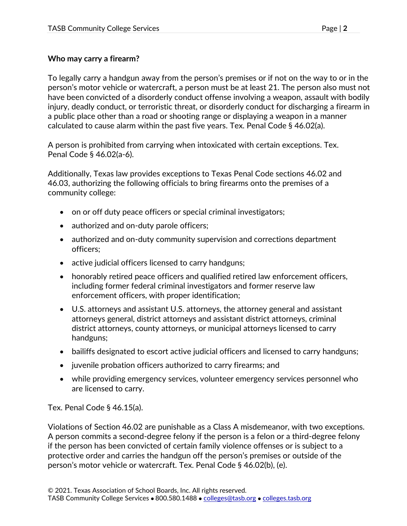## **Who may carry a firearm?**

To legally carry a handgun away from the person's premises or if not on the way to or in the person's motor vehicle or watercraft, a person must be at least 21. The person also must not have been convicted of a disorderly conduct offense involving a weapon, assault with bodily injury, deadly conduct, or terroristic threat, or disorderly conduct for discharging a firearm in a public place other than a road or shooting range or displaying a weapon in a manner calculated to cause alarm within the past five years. Tex. Penal Code § 46.02(a).

A person is prohibited from carrying when intoxicated with certain exceptions. Tex. Penal Code § 46.02(a-6).

Additionally, Texas law provides exceptions to Texas Penal Code sections 46.02 and 46.03, authorizing the following officials to bring firearms onto the premises of a community college:

- on or off duty peace officers or special criminal investigators;
- authorized and on-duty parole officers;
- authorized and on-duty community supervision and corrections department officers;
- active judicial officers licensed to carry handguns;
- honorably retired peace officers and qualified retired law enforcement officers, including former federal criminal investigators and former reserve law enforcement officers, with proper identification;
- U.S. attorneys and assistant U.S. attorneys, the attorney general and assistant attorneys general, district attorneys and assistant district attorneys, criminal district attorneys, county attorneys, or municipal attorneys licensed to carry handguns;
- bailiffs designated to escort active judicial officers and licensed to carry handguns;
- juvenile probation officers authorized to carry firearms; and
- while providing emergency services, volunteer emergency services personnel who are licensed to carry.

Tex. Penal Code § 46.15(a).

Violations of Section 46.02 are punishable as a Class A misdemeanor, with two exceptions. A person commits a second-degree felony if the person is a felon or a third-degree felony if the person has been convicted of certain family violence offenses or is subject to a protective order and carries the handgun off the person's premises or outside of the person's motor vehicle or watercraft. Tex. Penal Code § 46.02(b), (e).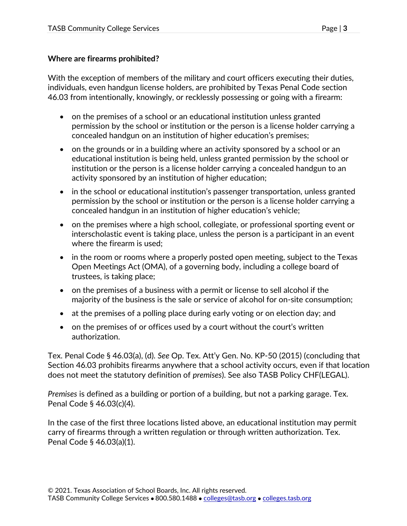### **Where are firearms prohibited?**

With the exception of members of the military and court officers executing their duties, individuals, even handgun license holders, are prohibited by Texas Penal Code section 46.03 from intentionally, knowingly, or recklessly possessing or going with a firearm:

- on the premises of a school or an educational institution unless granted permission by the school or institution or the person is a license holder carrying a concealed handgun on an institution of higher education's premises;
- on the grounds or in a building where an activity sponsored by a school or an educational institution is being held, unless granted permission by the school or institution or the person is a license holder carrying a concealed handgun to an activity sponsored by an institution of higher education;
- in the school or educational institution's passenger transportation, unless granted permission by the school or institution or the person is a license holder carrying a concealed handgun in an institution of higher education's vehicle;
- on the premises where a high school, collegiate, or professional sporting event or interscholastic event is taking place, unless the person is a participant in an event where the firearm is used;
- in the room or rooms where a properly posted open meeting, subject to the Texas Open Meetings Act (OMA), of a governing body, including a college board of trustees, is taking place;
- on the premises of a business with a permit or license to sell alcohol if the majority of the business is the sale or service of alcohol for on-site consumption;
- at the premises of a polling place during early voting or on election day; and
- on the premises of or offices used by a court without the court's written authorization.

Tex. Penal Code § 46.03(a), (d). *See* Op. Tex. Att'y Gen. No. KP-50 (2015) (concluding that Section 46.03 prohibits firearms anywhere that a school activity occurs, even if that location does not meet the statutory definition of *premises*). See also TASB Policy CHF(LEGAL).

*Premises* is defined as a building or portion of a building, but not a parking garage. Tex. Penal Code § 46.03(c)(4).

In the case of the first three locations listed above, an educational institution may permit carry of firearms through a written regulation or through written authorization. Tex. Penal Code § 46.03(a)(1).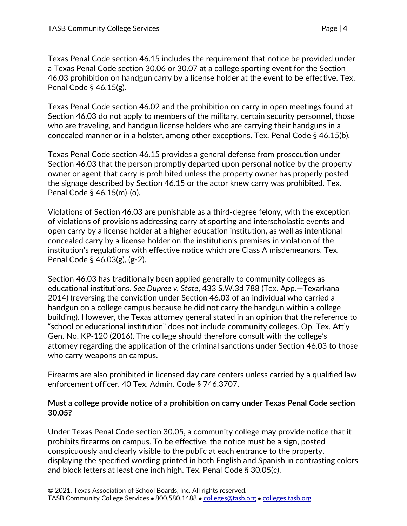Texas Penal Code section 46.15 includes the requirement that notice be provided under a Texas Penal Code section 30.06 or 30.07 at a college sporting event for the Section 46.03 prohibition on handgun carry by a license holder at the event to be effective. Tex. Penal Code § 46.15(g).

Texas Penal Code section 46.02 and the prohibition on carry in open meetings found at Section 46.03 do not apply to members of the military, certain security personnel, those who are traveling, and handgun license holders who are carrying their handguns in a concealed manner or in a holster, among other exceptions. Tex. Penal Code § 46.15(b).

Texas Penal Code section 46.15 provides a general defense from prosecution under Section 46.03 that the person promptly departed upon personal notice by the property owner or agent that carry is prohibited unless the property owner has properly posted the signage described by Section 46.15 or the actor knew carry was prohibited. Tex. Penal Code § 46.15(m)-(o).

Violations of Section 46.03 are punishable as a third-degree felony, with the exception of violations of provisions addressing carry at sporting and interscholastic events and open carry by a license holder at a higher education institution, as well as intentional concealed carry by a license holder on the institution's premises in violation of the institution's regulations with effective notice which are Class A misdemeanors. Tex. Penal Code § 46.03(g), (g-2).

Section 46.03 has traditionally been applied generally to community colleges as educational institutions. *See Dupree v. State*, 433 S.W.3d 788 (Tex. App.—Texarkana 2014) (reversing the conviction under Section 46.03 of an individual who carried a handgun on a college campus because he did not carry the handgun within a college building). However, the Texas attorney general stated in an opinion that the reference to "school or educational institution" does not include community colleges. Op. Tex. Att'y Gen. No. KP-120 (2016). The college should therefore consult with the college's attorney regarding the application of the criminal sanctions under Section 46.03 to those who carry weapons on campus.

Firearms are also prohibited in licensed day care centers unless carried by a qualified law enforcement officer. 40 Tex. Admin. Code § 746.3707.

#### **Must a college provide notice of a prohibition on carry under Texas Penal Code section 30.05?**

Under Texas Penal Code section 30.05, a community college may provide notice that it prohibits firearms on campus. To be effective, the notice must be a sign, posted conspicuously and clearly visible to the public at each entrance to the property, displaying the specified wording printed in both English and Spanish in contrasting colors and block letters at least one inch high. Tex. Penal Code § 30.05(c).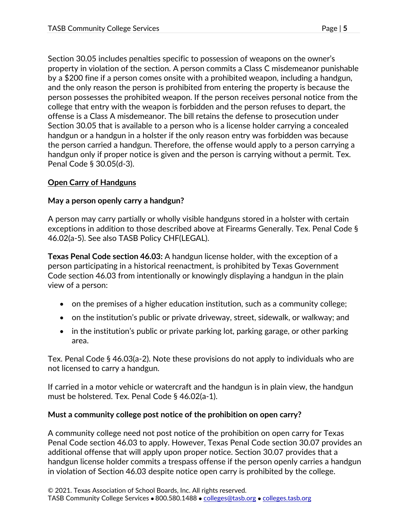Section 30.05 includes penalties specific to possession of weapons on the owner's property in violation of the section. A person commits a Class C misdemeanor punishable by a \$200 fine if a person comes onsite with a prohibited weapon, including a handgun, and the only reason the person is prohibited from entering the property is because the person possesses the prohibited weapon. If the person receives personal notice from the college that entry with the weapon is forbidden and the person refuses to depart, the offense is a Class A misdemeanor. The bill retains the defense to prosecution under Section 30.05 that is available to a person who is a license holder carrying a concealed handgun or a handgun in a holster if the only reason entry was forbidden was because the person carried a handgun. Therefore, the offense would apply to a person carrying a handgun only if proper notice is given and the person is carrying without a permit. Tex. Penal Code § 30.05(d-3).

### **Open Carry of Handguns**

### **May a person openly carry a handgun?**

A person may carry partially or wholly visible handguns stored in a holster with certain exceptions in addition to those described above at Firearms Generally. Tex. Penal Code § 46.02(a-5). See also TASB Policy CHF(LEGAL).

**Texas Penal Code section 46.03:** A handgun license holder, with the exception of a person participating in a historical reenactment, is prohibited by Texas Government Code section 46.03 from intentionally or knowingly displaying a handgun in the plain view of a person:

- on the premises of a higher education institution, such as a community college;
- on the institution's public or private driveway, street, sidewalk, or walkway; and
- in the institution's public or private parking lot, parking garage, or other parking area.

Tex. Penal Code § 46.03(a-2). Note these provisions do not apply to individuals who are not licensed to carry a handgun.

If carried in a motor vehicle or watercraft and the handgun is in plain view, the handgun must be holstered. Tex. Penal Code § 46.02(a-1).

### **Must a community college post notice of the prohibition on open carry?**

A community college need not post notice of the prohibition on open carry for Texas Penal Code section 46.03 to apply. However, Texas Penal Code section 30.07 provides an additional offense that will apply upon proper notice. Section 30.07 provides that a handgun license holder commits a trespass offense if the person openly carries a handgun in violation of Section 46.03 despite notice open carry is prohibited by the college.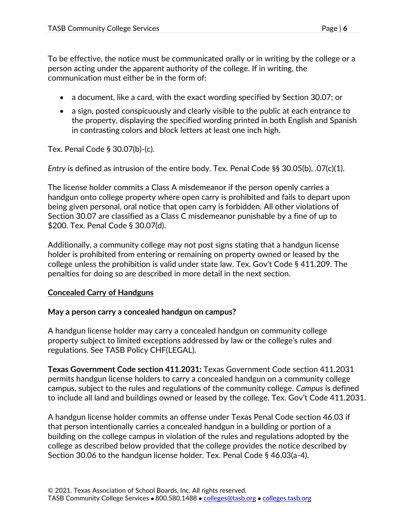To be effective, the notice must be communicated orally or in writing by the college or a person acting under the apparent authority of the college. If in writing, the communication must either be in the form of:

- a document, like a card, with the exact wording specified by Section 30.07; or
- a sign, posted conspicuously and clearly visible to the public at each entrance to the property, displaying the specified wording printed in both English and Spanish in contrasting colors and block letters at least one inch high.

Tex. Penal Code § 30.07(b)-(c).

*Entry* is defined as intrusion of the entire body. Tex. Penal Code §§ 30.05(b), .07(c)(1).

The license holder commits a Class A misdemeanor if the person openly carries a handgun onto college property where open carry is prohibited and fails to depart upon being given personal, oral notice that open carry is forbidden. All other violations of Section 30.07 are classified as a Class C misdemeanor punishable by a fine of up to \$200. Tex. Penal Code § 30.07(d).

Additionally, a community college may not post signs stating that a handgun license holder is prohibited from entering or remaining on property owned or leased by the college unless the prohibition is valid under state law. Tex. Gov't Code § 411.209. The penalties for doing so are described in more detail in the next section.

## **Concealed Carry of Handguns**

### **May a person carry a concealed handgun on campus?**

A handgun license holder may carry a concealed handgun on community college property subject to limited exceptions addressed by law or the college's rules and regulations. See TASB Policy CHF(LEGAL).

**Texas Government Code section 411.2031:** Texas Government Code section 411.2031 permits handgun license holders to carry a concealed handgun on a community college campus, subject to the rules and regulations of the community college. *Campus* is defined to include all land and buildings owned or leased by the college. Tex. Gov't Code 411.2031.

A handgun license holder commits an offense under Texas Penal Code section 46.03 if that person intentionally carries a concealed handgun in a building or portion of a building on the college campus in violation of the rules and regulations adopted by the college as described below provided that the college provides the notice described by Section 30.06 to the handgun license holder. Tex. Penal Code § 46.03(a-4).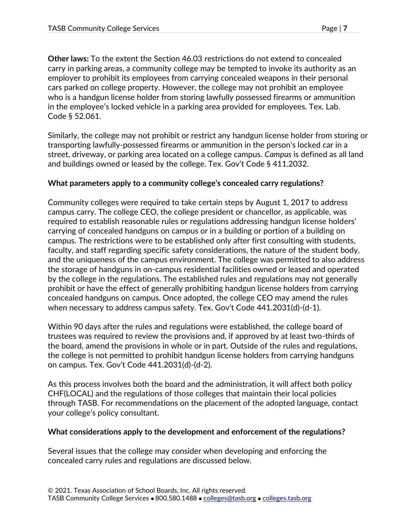**Other laws:** To the extent the Section 46.03 restrictions do not extend to concealed carry in parking areas, a community college may be tempted to invoke its authority as an employer to prohibit its employees from carrying concealed weapons in their personal cars parked on college property. However, the college may not prohibit an employee who is a handgun license holder from storing lawfully possessed firearms or ammunition in the employee's locked vehicle in a parking area provided for employees. Tex. Lab. Code § 52.061.

Similarly, the college may not prohibit or restrict any handgun license holder from storing or transporting lawfully-possessed firearms or ammunition in the person's locked car in a street, driveway, or parking area located on a college campus. *Campus* is defined as all land and buildings owned or leased by the college. Tex. Gov't Code § 411.2032.

### **What parameters apply to a community college's concealed carry regulations?**

Community colleges were required to take certain steps by August 1, 2017 to address campus carry. The college CEO, the college president or chancellor, as applicable, was required to establish reasonable rules or regulations addressing handgun license holders' carrying of concealed handguns on campus or in a building or portion of a building on campus. The restrictions were to be established only after first consulting with students, faculty, and staff regarding specific safety considerations, the nature of the student body, and the uniqueness of the campus environment. The college was permitted to also address the storage of handguns in on-campus residential facilities owned or leased and operated by the college in the regulations. The established rules and regulations may not generally prohibit or have the effect of generally prohibiting handgun license holders from carrying concealed handguns on campus. Once adopted, the college CEO may amend the rules when necessary to address campus safety. Tex. Gov't Code 441.2031(d)-(d-1).

Within 90 days after the rules and regulations were established, the college board of trustees was required to review the provisions and, if approved by at least two-thirds of the board, amend the provisions in whole or in part. Outside of the rules and regulations, the college is not permitted to prohibit handgun license holders from carrying handguns on campus. Tex. Gov't Code 441.2031(d)-(d-2).

As this process involves both the board and the administration, it will affect both policy CHF(LOCAL) and the regulations of those colleges that maintain their local policies through TASB. For recommendations on the placement of the adopted language, contact your college's policy consultant.

### **What considerations apply to the development and enforcement of the regulations?**

Several issues that the college may consider when developing and enforcing the concealed carry rules and regulations are discussed below.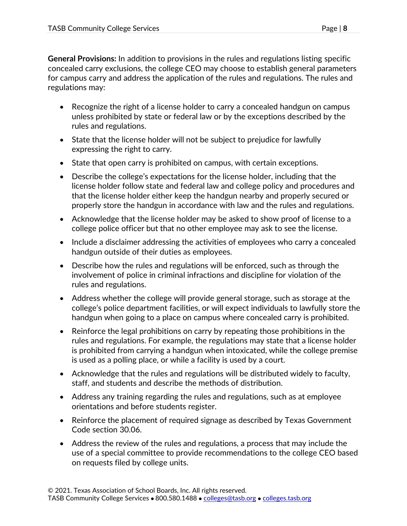**General Provisions:** In addition to provisions in the rules and regulations listing specific concealed carry exclusions, the college CEO may choose to establish general parameters for campus carry and address the application of the rules and regulations. The rules and regulations may:

- Recognize the right of a license holder to carry a concealed handgun on campus unless prohibited by state or federal law or by the exceptions described by the rules and regulations.
- State that the license holder will not be subject to prejudice for lawfully expressing the right to carry.
- State that open carry is prohibited on campus, with certain exceptions.
- Describe the college's expectations for the license holder, including that the license holder follow state and federal law and college policy and procedures and that the license holder either keep the handgun nearby and properly secured or properly store the handgun in accordance with law and the rules and regulations.
- Acknowledge that the license holder may be asked to show proof of license to a college police officer but that no other employee may ask to see the license.
- Include a disclaimer addressing the activities of employees who carry a concealed handgun outside of their duties as employees.
- Describe how the rules and regulations will be enforced, such as through the involvement of police in criminal infractions and discipline for violation of the rules and regulations.
- Address whether the college will provide general storage, such as storage at the college's police department facilities, or will expect individuals to lawfully store the handgun when going to a place on campus where concealed carry is prohibited.
- Reinforce the legal prohibitions on carry by repeating those prohibitions in the rules and regulations. For example, the regulations may state that a license holder is prohibited from carrying a handgun when intoxicated, while the college premise is used as a polling place, or while a facility is used by a court.
- Acknowledge that the rules and regulations will be distributed widely to faculty, staff, and students and describe the methods of distribution.
- Address any training regarding the rules and regulations, such as at employee orientations and before students register.
- Reinforce the placement of required signage as described by Texas Government Code section 30.06.
- Address the review of the rules and regulations, a process that may include the use of a special committee to provide recommendations to the college CEO based on requests filed by college units.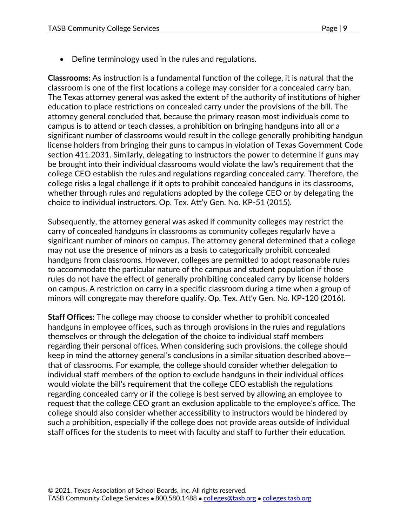• Define terminology used in the rules and regulations.

**Classrooms:** As instruction is a fundamental function of the college, it is natural that the classroom is one of the first locations a college may consider for a concealed carry ban. The Texas attorney general was asked the extent of the authority of institutions of higher education to place restrictions on concealed carry under the provisions of the bill. The attorney general concluded that, because the primary reason most individuals come to campus is to attend or teach classes, a prohibition on bringing handguns into all or a significant number of classrooms would result in the college generally prohibiting handgun license holders from bringing their guns to campus in violation of Texas Government Code section 411.2031. Similarly, delegating to instructors the power to determine if guns may be brought into their individual classrooms would violate the law's requirement that the college CEO establish the rules and regulations regarding concealed carry. Therefore, the college risks a legal challenge if it opts to prohibit concealed handguns in its classrooms, whether through rules and regulations adopted by the college CEO or by delegating the choice to individual instructors. Op. Tex. Att'y Gen. No. KP-51 (2015).

Subsequently, the attorney general was asked if community colleges may restrict the carry of concealed handguns in classrooms as community colleges regularly have a significant number of minors on campus. The attorney general determined that a college may not use the presence of minors as a basis to categorically prohibit concealed handguns from classrooms. However, colleges are permitted to adopt reasonable rules to accommodate the particular nature of the campus and student population if those rules do not have the effect of generally prohibiting concealed carry by license holders on campus. A restriction on carry in a specific classroom during a time when a group of minors will congregate may therefore qualify. Op. Tex. Att'y Gen. No. KP-120 (2016).

**Staff Offices:** The college may choose to consider whether to prohibit concealed handguns in employee offices, such as through provisions in the rules and regulations themselves or through the delegation of the choice to individual staff members regarding their personal offices. When considering such provisions, the college should keep in mind the attorney general's conclusions in a similar situation described above that of classrooms. For example, the college should consider whether delegation to individual staff members of the option to exclude handguns in their individual offices would violate the bill's requirement that the college CEO establish the regulations regarding concealed carry or if the college is best served by allowing an employee to request that the college CEO grant an exclusion applicable to the employee's office. The college should also consider whether accessibility to instructors would be hindered by such a prohibition, especially if the college does not provide areas outside of individual staff offices for the students to meet with faculty and staff to further their education.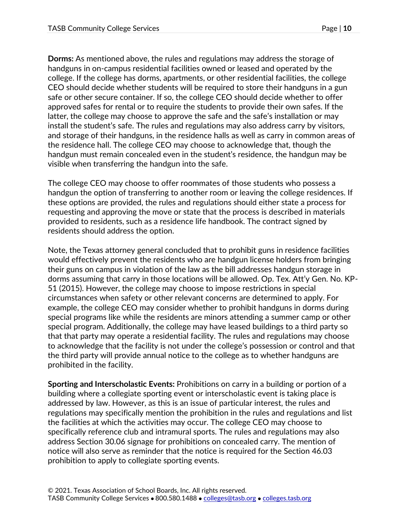**Dorms:** As mentioned above, the rules and regulations may address the storage of handguns in on-campus residential facilities owned or leased and operated by the college. If the college has dorms, apartments, or other residential facilities, the college CEO should decide whether students will be required to store their handguns in a gun safe or other secure container. If so, the college CEO should decide whether to offer approved safes for rental or to require the students to provide their own safes. If the latter, the college may choose to approve the safe and the safe's installation or may install the student's safe. The rules and regulations may also address carry by visitors, and storage of their handguns, in the residence halls as well as carry in common areas of the residence hall. The college CEO may choose to acknowledge that, though the handgun must remain concealed even in the student's residence, the handgun may be visible when transferring the handgun into the safe.

The college CEO may choose to offer roommates of those students who possess a handgun the option of transferring to another room or leaving the college residences. If these options are provided, the rules and regulations should either state a process for requesting and approving the move or state that the process is described in materials provided to residents, such as a residence life handbook. The contract signed by residents should address the option.

Note, the Texas attorney general concluded that to prohibit guns in residence facilities would effectively prevent the residents who are handgun license holders from bringing their guns on campus in violation of the law as the bill addresses handgun storage in dorms assuming that carry in those locations will be allowed. Op. Tex. Att'y Gen. No. KP-51 (2015). However, the college may choose to impose restrictions in special circumstances when safety or other relevant concerns are determined to apply. For example, the college CEO may consider whether to prohibit handguns in dorms during special programs like while the residents are minors attending a summer camp or other special program. Additionally, the college may have leased buildings to a third party so that that party may operate a residential facility. The rules and regulations may choose to acknowledge that the facility is not under the college's possession or control and that the third party will provide annual notice to the college as to whether handguns are prohibited in the facility.

**Sporting and Interscholastic Events:** Prohibitions on carry in a building or portion of a building where a collegiate sporting event or interscholastic event is taking place is addressed by law. However, as this is an issue of particular interest, the rules and regulations may specifically mention the prohibition in the rules and regulations and list the facilities at which the activities may occur. The college CEO may choose to specifically reference club and intramural sports. The rules and regulations may also address Section 30.06 signage for prohibitions on concealed carry. The mention of notice will also serve as reminder that the notice is required for the Section 46.03 prohibition to apply to collegiate sporting events.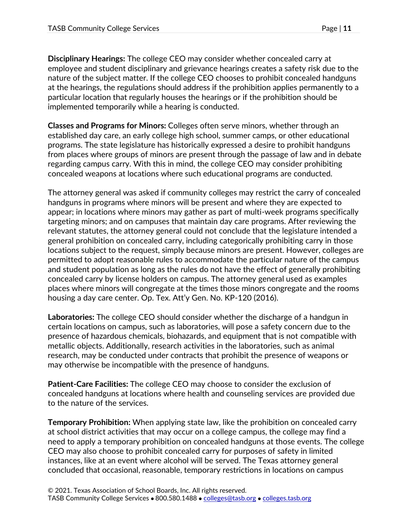**Disciplinary Hearings:** The college CEO may consider whether concealed carry at employee and student disciplinary and grievance hearings creates a safety risk due to the nature of the subject matter. If the college CEO chooses to prohibit concealed handguns at the hearings, the regulations should address if the prohibition applies permanently to a particular location that regularly houses the hearings or if the prohibition should be implemented temporarily while a hearing is conducted.

**Classes and Programs for Minors:** Colleges often serve minors, whether through an established day care, an early college high school, summer camps, or other educational programs. The state legislature has historically expressed a desire to prohibit handguns from places where groups of minors are present through the passage of law and in debate regarding campus carry. With this in mind, the college CEO may consider prohibiting concealed weapons at locations where such educational programs are conducted.

The attorney general was asked if community colleges may restrict the carry of concealed handguns in programs where minors will be present and where they are expected to appear; in locations where minors may gather as part of multi-week programs specifically targeting minors; and on campuses that maintain day care programs. After reviewing the relevant statutes, the attorney general could not conclude that the legislature intended a general prohibition on concealed carry, including categorically prohibiting carry in those locations subject to the request, simply because minors are present. However, colleges are permitted to adopt reasonable rules to accommodate the particular nature of the campus and student population as long as the rules do not have the effect of generally prohibiting concealed carry by license holders on campus. The attorney general used as examples places where minors will congregate at the times those minors congregate and the rooms housing a day care center. Op. Tex. Att'y Gen. No. KP-120 (2016).

**Laboratories:** The college CEO should consider whether the discharge of a handgun in certain locations on campus, such as laboratories, will pose a safety concern due to the presence of hazardous chemicals, biohazards, and equipment that is not compatible with metallic objects. Additionally, research activities in the laboratories, such as animal research, may be conducted under contracts that prohibit the presence of weapons or may otherwise be incompatible with the presence of handguns.

**Patient-Care Facilities:** The college CEO may choose to consider the exclusion of concealed handguns at locations where health and counseling services are provided due to the nature of the services.

**Temporary Prohibition:** When applying state law, like the prohibition on concealed carry at school district activities that may occur on a college campus, the college may find a need to apply a temporary prohibition on concealed handguns at those events. The college CEO may also choose to prohibit concealed carry for purposes of safety in limited instances, like at an event where alcohol will be served. The Texas attorney general concluded that occasional, reasonable, temporary restrictions in locations on campus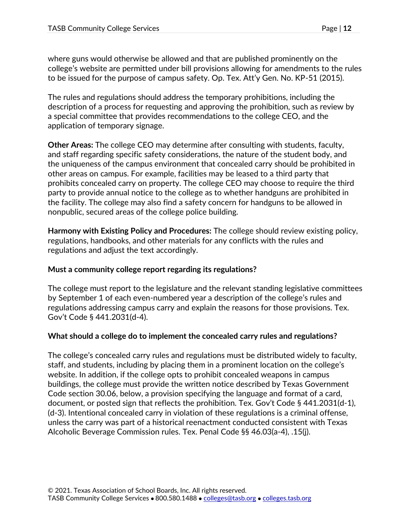where guns would otherwise be allowed and that are published prominently on the college's website are permitted under bill provisions allowing for amendments to the rules to be issued for the purpose of campus safety. Op. Tex. Att'y Gen. No. KP-51 (2015).

The rules and regulations should address the temporary prohibitions, including the description of a process for requesting and approving the prohibition, such as review by a special committee that provides recommendations to the college CEO, and the application of temporary signage.

**Other Areas:** The college CEO may determine after consulting with students, faculty, and staff regarding specific safety considerations, the nature of the student body, and the uniqueness of the campus environment that concealed carry should be prohibited in other areas on campus. For example, facilities may be leased to a third party that prohibits concealed carry on property. The college CEO may choose to require the third party to provide annual notice to the college as to whether handguns are prohibited in the facility. The college may also find a safety concern for handguns to be allowed in nonpublic, secured areas of the college police building.

**Harmony with Existing Policy and Procedures:** The college should review existing policy, regulations, handbooks, and other materials for any conflicts with the rules and regulations and adjust the text accordingly.

### **Must a community college report regarding its regulations?**

The college must report to the legislature and the relevant standing legislative committees by September 1 of each even-numbered year a description of the college's rules and regulations addressing campus carry and explain the reasons for those provisions. Tex. Gov't Code § 441.2031(d-4).

## **What should a college do to implement the concealed carry rules and regulations?**

The college's concealed carry rules and regulations must be distributed widely to faculty, staff, and students, including by placing them in a prominent location on the college's website. In addition, if the college opts to prohibit concealed weapons in campus buildings, the college must provide the written notice described by Texas Government Code section 30.06, below, a provision specifying the language and format of a card, document, or posted sign that reflects the prohibition. Tex. Gov't Code § 441.2031(d-1), (d-3). Intentional concealed carry in violation of these regulations is a criminal offense, unless the carry was part of a historical reenactment conducted consistent with Texas Alcoholic Beverage Commission rules. Tex. Penal Code §§ 46.03(a-4), .15(j).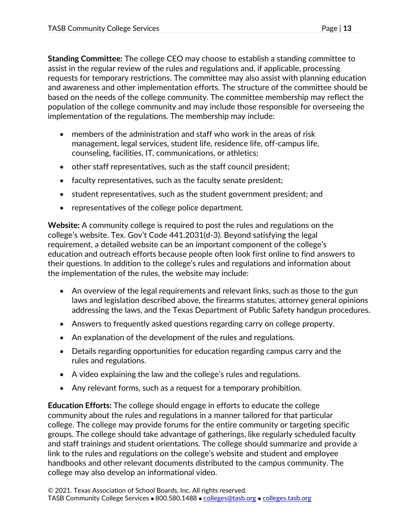**Standing Committee:** The college CEO may choose to establish a standing committee to assist in the regular review of the rules and regulations and, if applicable, processing requests for temporary restrictions. The committee may also assist with planning education and awareness and other implementation efforts. The structure of the committee should be based on the needs of the college community. The committee membership may reflect the population of the college community and may include those responsible for overseeing the implementation of the regulations. The membership may include:

- members of the administration and staff who work in the areas of risk management, legal services, student life, residence life, off-campus life, counseling, facilities, IT, communications, or athletics;
- other staff representatives, such as the staff council president;
- faculty representatives, such as the faculty senate president;
- student representatives, such as the student government president; and
- representatives of the college police department.

**Website:** A community college is required to post the rules and regulations on the college's website. Tex. Gov't Code 441.2031(d-3). Beyond satisfying the legal requirement, a detailed website can be an important component of the college's education and outreach efforts because people often look first online to find answers to their questions. In addition to the college's rules and regulations and information about the implementation of the rules, the website may include:

- An overview of the legal requirements and relevant links, such as those to the gun laws and legislation described above, the firearms statutes, attorney general opinions addressing the laws, and the Texas Department of Public Safety handgun procedures.
- Answers to frequently asked questions regarding carry on college property.
- An explanation of the development of the rules and regulations.
- Details regarding opportunities for education regarding campus carry and the rules and regulations.
- A video explaining the law and the college's rules and regulations.
- Any relevant forms, such as a request for a temporary prohibition.

**Education Efforts:** The college should engage in efforts to educate the college community about the rules and regulations in a manner tailored for that particular college. The college may provide forums for the entire community or targeting specific groups. The college should take advantage of gatherings, like regularly scheduled faculty and staff trainings and student orientations. The college should summarize and provide a link to the rules and regulations on the college's website and student and employee handbooks and other relevant documents distributed to the campus community. The college may also develop an informational video.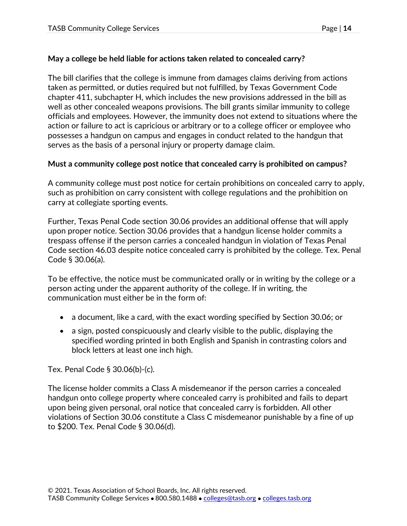## **May a college be held liable for actions taken related to concealed carry?**

The bill clarifies that the college is immune from damages claims deriving from actions taken as permitted, or duties required but not fulfilled, by Texas Government Code chapter 411, subchapter H, which includes the new provisions addressed in the bill as well as other concealed weapons provisions. The bill grants similar immunity to college officials and employees. However, the immunity does not extend to situations where the action or failure to act is capricious or arbitrary or to a college officer or employee who possesses a handgun on campus and engages in conduct related to the handgun that serves as the basis of a personal injury or property damage claim.

## **Must a community college post notice that concealed carry is prohibited on campus?**

A community college must post notice for certain prohibitions on concealed carry to apply, such as prohibition on carry consistent with college regulations and the prohibition on carry at collegiate sporting events.

Further, Texas Penal Code section 30.06 provides an additional offense that will apply upon proper notice. Section 30.06 provides that a handgun license holder commits a trespass offense if the person carries a concealed handgun in violation of Texas Penal Code section 46.03 despite notice concealed carry is prohibited by the college. Tex. Penal Code § 30.06(a).

To be effective, the notice must be communicated orally or in writing by the college or a person acting under the apparent authority of the college. If in writing, the communication must either be in the form of:

- a document, like a card, with the exact wording specified by Section 30.06; or
- a sign, posted conspicuously and clearly visible to the public, displaying the specified wording printed in both English and Spanish in contrasting colors and block letters at least one inch high.

Tex. Penal Code § 30.06(b)-(c).

The license holder commits a Class A misdemeanor if the person carries a concealed handgun onto college property where concealed carry is prohibited and fails to depart upon being given personal, oral notice that concealed carry is forbidden. All other violations of Section 30.06 constitute a Class C misdemeanor punishable by a fine of up to \$200. Tex. Penal Code § 30.06(d).